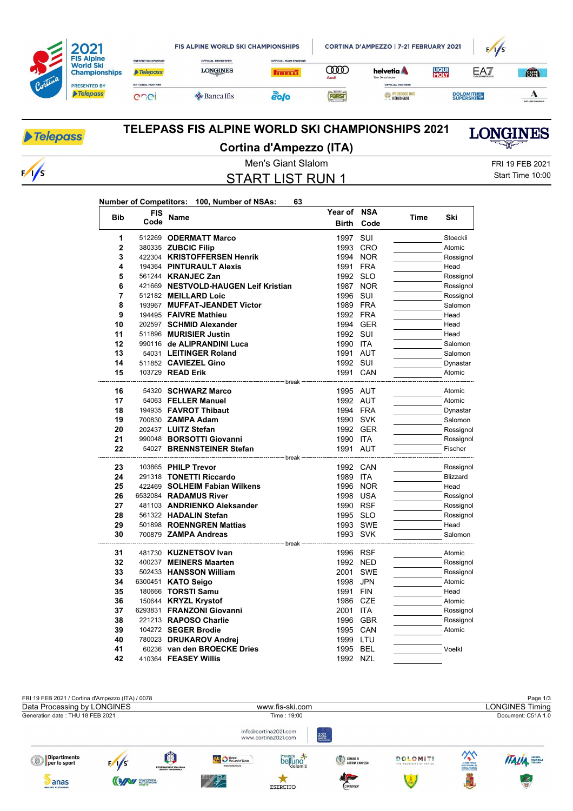|         | <b>FIS Alpine</b><br><b>World Ski</b><br><b>Championships</b><br><b>PRESENTED BY</b><br><b>Telepass</b> | PRESENTING SPONSOR                         | <b>FIS ALPINE WORLD SKI CHAMPIONSHIPS</b>     |                                               |                  | CORTINA D'AMPEZZO   7-21 FEBRUARY 2021                      | F/1/S                |                 |                  |
|---------|---------------------------------------------------------------------------------------------------------|--------------------------------------------|-----------------------------------------------|-----------------------------------------------|------------------|-------------------------------------------------------------|----------------------|-----------------|------------------|
| Cortina |                                                                                                         | <b>Telepass</b><br><b>NATIONAL PARTNER</b> | <b>OFFICIAL TIMEKEEPER</b><br><b>LONGINES</b> | <b>OFFICIAL MAIN SPONSOR</b><br><b>TRELL!</b> | $\infty$<br>Audi | helvetia <b>A</b><br>Your Swiss Insurer<br>OFFICIAL PARTNER | <b>LIQUI</b><br>MOLY | EAT             | <b>CATA</b>      |
|         |                                                                                                         | enei                                       | $\triangle$ Banca Ifis                        | eolo                                          | FORST            | <b>AND PROSECCO DOC</b><br><b>TEALLAN GENIO</b>             |                      | <b>DOLOMITI</b> | THE ADECCO GROUP |

## Telepass

 $\sqrt{s}$ 

### **TELEPASS FIS ALPINE WORLD SKI CHAMPIONSHIPS 2021 Cortina d'Ampezzo (ITA)**

Men's Giant Slalom FRI 19 FEB 2021

START LIST RUN 1

Start Time 10:00

**LONGINES** 

#### **Number of Competitors: 100, Number of NSAs: 63**

| <b>Bib</b>              | <b>FIS</b> | <b>Name</b>                              | Year of              | <b>NSA</b> | Time | Ski                  |
|-------------------------|------------|------------------------------------------|----------------------|------------|------|----------------------|
|                         | Code       |                                          | <b>Birth</b>         | Code       |      |                      |
| 1                       |            | 512269 ODERMATT Marco                    | 1997                 | SUI        |      | Stoeckli             |
| $\overline{\mathbf{2}}$ |            | 380335 ZUBCIC Filip                      | 1993                 | <b>CRO</b> |      | Atomic               |
| 3                       |            | 422304 KRISTOFFERSEN Henrik              | 1994                 | <b>NOR</b> |      | Rossignol            |
| 4                       |            | 194364 PINTURAULT Alexis                 | 1991                 | <b>FRA</b> |      | Head                 |
| 5                       |            | 561244 KRANJEC Zan                       | 1992                 | <b>SLO</b> |      | Rossignol            |
| 6                       |            | 421669 NESTVOLD-HAUGEN Leif Kristian     | 1987                 | <b>NOR</b> |      | Rossignol            |
| 7                       |            | 512182 MEILLARD Loic                     | 1996                 | SUI        |      | Rossignol            |
| 8                       |            | 193967 MUFFAT-JEANDET Victor             | 1989 FRA             |            |      | Salomon              |
| 9                       |            | 194495 FAIVRE Mathieu                    | 1992 FRA             |            |      | Head                 |
| 10                      |            | 202597 SCHMID Alexander                  | 1994 GER             |            |      | Head                 |
| 11                      |            | 511896 MURISIER Justin                   | 1992 SUI             |            |      | Head                 |
| 12                      |            | 990116 de ALIPRANDINI Luca               | 1990 ITA             |            |      | Salomon              |
| 13                      |            | 54031 LEITINGER Roland                   | 1991 AUT             |            |      | Salomon              |
| 14                      |            | 511852 CAVIEZEL Gino                     | 1992 SUI             |            |      | Dynastar             |
| 15                      |            | 103729 READ Erik                         | 1991 CAN             |            |      | Atomic               |
|                         |            |                                          |                      |            |      |                      |
| 16                      |            | 54320 SCHWARZ Marco                      | 1995 AUT             |            |      | Atomic               |
| 17                      |            | 54063 FELLER Manuel                      | 1992 AUT             |            |      | Atomic               |
| 18                      |            | 194935 FAVROT Thibaut                    | 1994 FRA             |            |      | Dynastar             |
| 19<br>20                |            | 700830 ZAMPA Adam<br>202437 LUITZ Stefan | 1990 SVK             |            |      | Salomon              |
| 21                      |            | 990048 BORSOTTI Giovanni                 | 1992 GER<br>1990 ITA |            |      | Rossignol            |
| 22                      |            | 54027 BRENNSTEINER Stefan                | 1991 AUT             |            |      | Rossignol<br>Fischer |
|                         |            |                                          |                      |            |      |                      |
| 23                      |            | 103865 PHILP Trevor                      | 1992 CAN             |            |      | Rossignol            |
| 24                      |            | 291318 TONETTI Riccardo                  | 1989 ITA             |            |      | Blizzard             |
| 25                      |            | 422469 SOLHEIM Fabian Wilkens            | 1996                 | <b>NOR</b> |      | Head                 |
| 26                      |            | 6532084 RADAMUS River                    | 1998                 | <b>USA</b> |      | Rossignol            |
| 27                      |            | 481103 ANDRIENKO Aleksander              | 1990                 | <b>RSF</b> |      | Rossignol            |
| 28                      |            | 561322 HADALIN Stefan                    | 1995 SLO             |            |      | Rossignol            |
| 29                      |            | 501898 ROENNGREN Mattias                 | 1993 SWE             |            |      | Head                 |
| 30                      |            | 700879 ZAMPA Andreas                     | 1993 SVK             |            |      | Salomon              |
|                         |            | ------------------ break                 |                      |            |      |                      |
| 31                      |            | 481730 KUZNETSOV Ivan                    | 1996 RSF             |            |      | Atomic               |
| 32                      |            | 400237 MEINERS Maarten                   | 1992 NED             |            |      | Rossignol            |
| 33                      |            | 502433 HANSSON William                   | 2001                 | <b>SWE</b> |      | Rossignol            |
| 34                      |            | 6300451 KATO Seigo                       | 1998                 | <b>JPN</b> |      | Atomic               |
| 35                      |            | 180666 TORSTI Samu                       | 1991                 | <b>FIN</b> |      | Head                 |
| 36                      |            | 150644 KRYZL Krystof                     | 1986                 | CZE        |      | Atomic               |
| 37                      |            | 6293831 FRANZONI Giovanni                | 2001                 | <b>ITA</b> |      | Rossignol            |
| 38                      |            | 221213 RAPOSO Charlie                    | 1996                 | <b>GBR</b> |      | Rossignol            |
| 39                      |            | 104272 SEGER Brodie                      | 1995 CAN             |            |      | Atomic               |
| 40                      |            | 780023 DRUKAROV Andrej                   | 1999 LTU             |            |      |                      |
| 41                      |            | 60236 van den BROECKE Dries              | 1995 BEL             |            |      | Voelkl               |
| 42                      |            | 410364 FEASEY Willis                     | 1992 NZL             |            |      |                      |

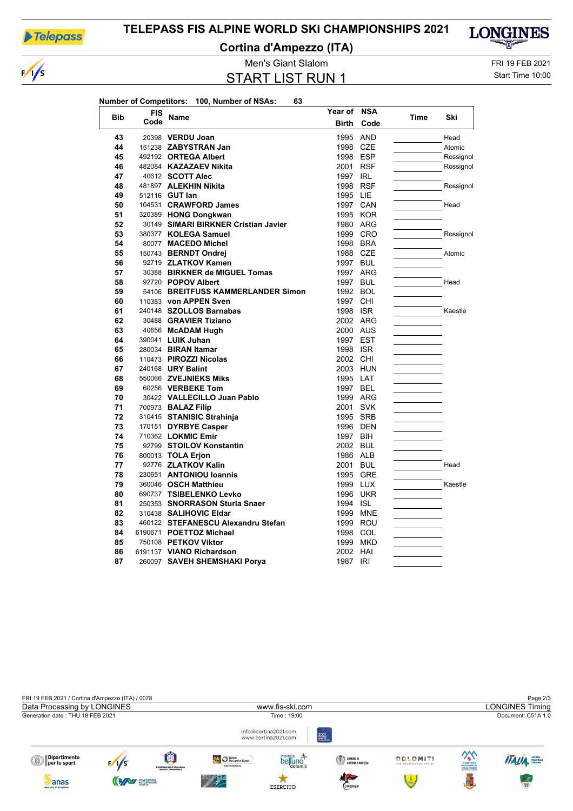

 $\sqrt{s}$ 

### **TELEPASS FIS ALPINE WORLD SKI CHAMPIONSHIPS 2021**

**Cortina d'Ampezzo (ITA)**



# START LIST RUN 1

Men's Giant Slalom FRI 19 FEB 2021

Start Time 10:00

|            |            | Number of Competitors: 100, Number of NSAs:<br>63 |              |            |      |           |
|------------|------------|---------------------------------------------------|--------------|------------|------|-----------|
| <b>Bib</b> | <b>FIS</b> |                                                   | Year of NSA  |            |      |           |
|            | Code       | Name                                              | <b>Birth</b> | Code       | Time | Ski       |
| 43         |            | 20398 VERDU Joan                                  | 1995         | AND        |      | Head      |
| 44         |            | 151238 ZABYSTRAN Jan                              | 1998         | CZE        |      | Atomic    |
| 45         |            | 492192 ORTEGA Albert                              | 1998 ESP     |            |      | Rossignol |
| 46         |            | 482084 KAZAZAEV Nikita                            | 2001 RSF     |            |      | Rossignol |
| 47         |            | 40612 <b>SCOTT Alec</b>                           | 1997 IRL     |            |      |           |
| 48         |            | 481897 ALEKHIN Nikita                             | 1998 RSF     |            |      | Rossignol |
| 49         |            | 512116 <b>GUT lan</b>                             | 1995 LIE     |            |      |           |
| 50         |            | 104531 CRAWFORD James                             | 1997 CAN     |            |      | Head      |
| 51         |            | 320389 HONG Dongkwan                              |              | 1995 KOR   |      |           |
| 52         |            | 30149 SIMARI BIRKNER Cristian Javier              |              | 1980 ARG   |      |           |
| 53         |            | 380377 KOLEGA Samuel                              |              | 1999 CRO   |      | Rossignol |
| 54         |            | 80077 MACEDO Michel                               | 1998 BRA     |            |      |           |
| 55         |            | 150743 BERNDT Ondrei                              | 1988 CZE     |            |      | Atomic    |
| 56         |            | 92719 ZLATKOV Kamen                               | 1997 BUL     |            |      |           |
| 57         |            | 30388 BIRKNER de MIGUEL Tomas                     |              | 1997 ARG   |      |           |
| 58         |            | 92720 POPOV Albert                                | 1997 BUL     |            |      | Head      |
| 59         |            | 54106 BREITFUSS KAMMERLANDER Simon                | 1992 BOL     |            |      |           |
| 60         |            | 110383 von APPEN Sven                             | 1997 CHI     |            |      |           |
| 61         |            | 240148 SZOLLOS Barnabas                           | 1998 ISR     |            |      | Kaestle   |
| 62         |            | 30488 GRAVIER Tiziano                             | 2002 ARG     |            |      |           |
| 63         |            | 40656 McADAM Hugh                                 | 2000 AUS     |            |      |           |
| 64         |            | 390041 LUIK Juhan                                 | 1997 EST     |            |      |           |
| 65         |            | 280034 BIRAN Itamar                               | 1998 ISR     |            |      |           |
| 66         |            | 110473 PIROZZI Nicolas                            | 2002 CHI     |            |      |           |
| 67         |            | 240168 URY Balint                                 | 2003 HUN     |            |      |           |
| 68         |            | 550066 ZVEJNIEKS Miks                             | 1995 LAT     |            |      |           |
| 69         |            | 60256 VERBEKE Tom                                 | 1997 BEL     |            |      |           |
| 70         |            | 30422 VALLECILLO Juan Pablo                       | 1999 ARG     |            |      |           |
| 71         |            | 700973 BALAZ Filip                                | 2001 SVK     |            |      |           |
| 72         |            | 310415 STANISIC Strahinja                         | 1995 SRB     |            |      |           |
| 73         |            | 170151 DYRBYE Casper                              | 1996 DEN     |            |      |           |
| 74         |            | 710362 LOKMIC Emir                                | 1997 BIH     |            |      |           |
| 75         |            | 92799 STOILOV Konstantin                          | 2002 BUL     |            |      |           |
| 76         |            | 800013 TOLA Erjon                                 | 1986 ALB     |            |      |           |
| 77         |            | 92776 ZLATKOV Kalin                               | 2001 BUL     |            |      | Head      |
| 78         |            | 230651 ANTONIOU loannis                           |              | 1995 GRE   |      |           |
| 79         |            | 360046 OSCH Matthieu                              | 1999 LUX     |            |      | Kaestle   |
| 80         |            | 690737 TSIBELENKO Levko                           | 1996 UKR     |            |      |           |
| 81         |            | 250353 SNORRASON Sturla Snaer                     | 1994 ISL     |            |      |           |
| 82         |            | 310438 SALIHOVIC Eldar                            |              | 1999 MNE   |      |           |
| 83         |            | 460122 STEFANESCU Alexandru Stefan                |              | 1999 ROU   |      |           |
| 84         |            | 6190671 POETTOZ Michael                           | 1998 COL     |            |      |           |
| 85         |            | 750108 PETKOV Viktor                              |              | 1999 MKD   |      |           |
| 86         |            | 6191137 VIANO Richardson                          | 2002 HAI     |            |      |           |
| 87         |            | 260097 SAVEH SHEMSHAKI Porya                      | 1987         | <b>IRI</b> |      |           |
|            |            |                                                   |              |            |      |           |
|            |            |                                                   |              |            |      |           |